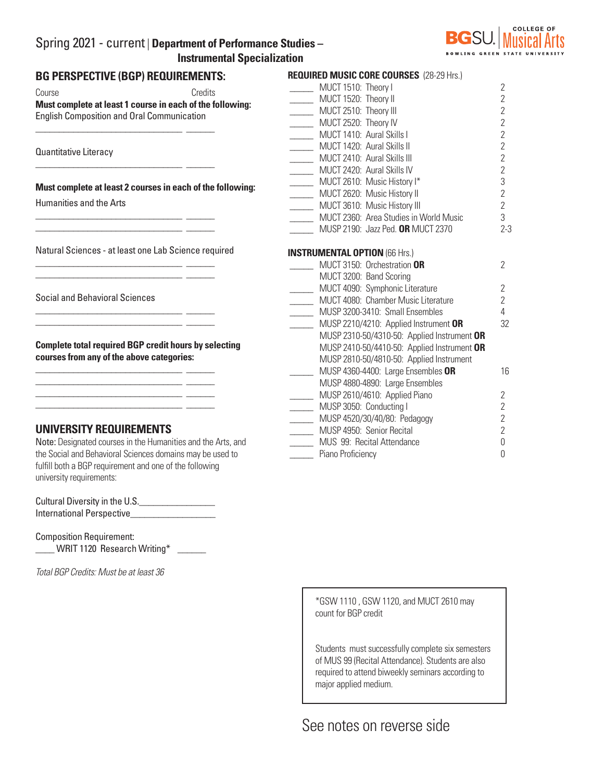# Spring 2021 - current | **Department of Performance Studies – Instrumental Specialization**



## **BG PERSPECTIVE (BGP) REQUIREMENTS:**

Course Credits **Must complete at least 1 course in each of the following:**  English Composition and Oral Communication

\_\_\_\_\_\_\_\_\_\_\_\_\_\_\_\_\_\_\_\_\_\_\_\_\_\_\_\_\_\_\_ \_\_\_\_\_\_

\_\_\_\_\_\_\_\_\_\_\_\_\_\_\_\_\_\_\_\_\_\_\_\_\_\_\_\_\_\_\_ \_\_\_\_\_\_

\_\_\_\_\_\_\_\_\_\_\_\_\_\_\_\_\_\_\_\_\_\_\_\_\_\_\_\_\_\_\_ \_\_\_\_\_\_ \_\_\_\_\_\_\_\_\_\_\_\_\_\_\_\_\_\_\_\_\_\_\_\_\_\_\_\_\_\_\_ \_\_\_\_\_\_

\_\_\_\_\_\_\_\_\_\_\_\_\_\_\_\_\_\_\_\_\_\_\_\_\_\_\_\_\_\_\_ \_\_\_\_\_\_  $\frac{1}{2}$  ,  $\frac{1}{2}$  ,  $\frac{1}{2}$  ,  $\frac{1}{2}$  ,  $\frac{1}{2}$  ,  $\frac{1}{2}$  ,  $\frac{1}{2}$  ,  $\frac{1}{2}$  ,  $\frac{1}{2}$  ,  $\frac{1}{2}$  ,  $\frac{1}{2}$  ,  $\frac{1}{2}$  ,  $\frac{1}{2}$  ,  $\frac{1}{2}$  ,  $\frac{1}{2}$  ,  $\frac{1}{2}$  ,  $\frac{1}{2}$  ,  $\frac{1}{2}$  ,  $\frac{1$ 

\_\_\_\_\_\_\_\_\_\_\_\_\_\_\_\_\_\_\_\_\_\_\_\_\_\_\_\_\_\_\_ \_\_\_\_\_\_ \_\_\_\_\_\_\_\_\_\_\_\_\_\_\_\_\_\_\_\_\_\_\_\_\_\_\_\_\_\_\_ \_\_\_\_\_\_

\_\_\_\_\_\_\_\_\_\_\_\_\_\_\_\_\_\_\_\_\_\_\_\_\_\_\_\_\_\_\_ \_\_\_\_\_\_  $\frac{1}{2}$  ,  $\frac{1}{2}$  ,  $\frac{1}{2}$  ,  $\frac{1}{2}$  ,  $\frac{1}{2}$  ,  $\frac{1}{2}$  ,  $\frac{1}{2}$  ,  $\frac{1}{2}$  ,  $\frac{1}{2}$  ,  $\frac{1}{2}$  ,  $\frac{1}{2}$  ,  $\frac{1}{2}$  ,  $\frac{1}{2}$  ,  $\frac{1}{2}$  ,  $\frac{1}{2}$  ,  $\frac{1}{2}$  ,  $\frac{1}{2}$  ,  $\frac{1}{2}$  ,  $\frac{1$ \_\_\_\_\_\_\_\_\_\_\_\_\_\_\_\_\_\_\_\_\_\_\_\_\_\_\_\_\_\_\_ \_\_\_\_\_\_ \_\_\_\_\_\_\_\_\_\_\_\_\_\_\_\_\_\_\_\_\_\_\_\_\_\_\_\_\_\_\_ \_\_\_\_\_\_

Quantitative Literacy

**Must complete at least 2 courses in each of the following:**

Humanities and the Arts

Natural Sciences - at least one Lab Science required

Social and Behavioral Sciences

**Complete total required BGP credit hours by selecting courses from any of the above categories:**

## **UNIVERSITY REQUIREMENTS**

Note: Designated courses in the Humanities and the Arts, and the Social and Behavioral Sciences domains may be used to fulfill both a BGP requirement and one of the following university requirements:

| Cultural Diversity in the U.S. |  |
|--------------------------------|--|
| International Perspective      |  |

Composition Requirement: WRIT 1120 Research Writing\*

*Total BGP Credits: Must be at least 36*

| <b>REQUIRED MUSIC CORE COURSES (28-29 Hrs.)</b> |                |
|-------------------------------------------------|----------------|
| MUCT 1510: Theory I                             | $\overline{2}$ |
| MUCT 1520: Theory II                            | $\overline{2}$ |
| MUCT 2510: Theory III                           | $\overline{2}$ |
| MUCT 2520: Theory IV                            | $\overline{2}$ |
| MUCT 1410: Aural Skills I                       | $\overline{2}$ |
| MUCT 1420: Aural Skills II                      | $\overline{2}$ |
| MUCT 2410: Aural Skills III                     | $\overline{2}$ |
| MUCT 2420: Aural Skills IV                      | $\overline{2}$ |
| MUCT 2610: Music History I*                     | 3              |
| MUCT 2620: Music History II                     | $\overline{2}$ |
| MUCT 3610: Music History III                    | $\overline{2}$ |
| MUCT 2360: Area Studies in World Music          | 3              |
| MUSP 2190: Jazz Ped. OR MUCT 2370               | $2 - 3$        |
|                                                 |                |
| <b>INSTRUMENTAL OPTION (66 Hrs.)</b>            |                |
| MUCT 3150: Orchestration OR                     | $\mathcal{P}$  |
| MUCT 3200: Band Scoring                         |                |
| MUCT 4090: Symphonic Literature                 | $\overline{2}$ |
| MUCT 4080: Chamber Music Literature             | $\overline{2}$ |
| MUSP 3200-3410: Small Ensembles                 | $\overline{4}$ |
| MUSP 2210/4210: Applied Instrument OR           | 32             |
| MUSP 2310-50/4310-50: Applied Instrument OR     |                |
| MUSP 2410-50/4410-50: Applied Instrument OR     |                |
| MUSP 2810-50/4810-50: Applied Instrument        |                |
| MUSP 4360-4400: Large Ensembles OR              | 16             |
| MUSP 4880-4890: Large Ensembles                 |                |
| MUSP 2610/4610: Applied Piano                   | $\overline{2}$ |
| MUSP 3050: Conducting I                         | $\overline{2}$ |
| MUSP 4520/30/40/80: Pedagogy                    | $\overline{2}$ |
| MUSP 4950: Senior Recital                       | $\overline{2}$ |
| MUS 99: Recital Attendance                      | $\Omega$       |
| Piano Proficiency                               | 0              |

\*GSW 1110 , GSW 1120, and MUCT 2610 may count for BGP credit

Students must successfully complete six semesters of MUS 99 (Recital Attendance). Students are also required to attend biweekly seminars according to major applied medium.

# See notes on reverse side